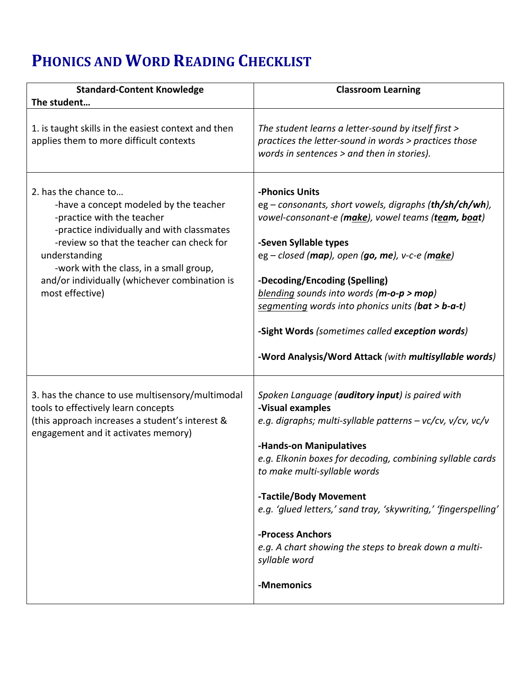## **PHONICS AND WORD READING CHECKLIST**

| <b>Standard-Content Knowledge</b>                                                                                                                                                                                                                                                                                       | <b>Classroom Learning</b>                                                                                                                                                                                                                                                                                                                                                                                                                                            |
|-------------------------------------------------------------------------------------------------------------------------------------------------------------------------------------------------------------------------------------------------------------------------------------------------------------------------|----------------------------------------------------------------------------------------------------------------------------------------------------------------------------------------------------------------------------------------------------------------------------------------------------------------------------------------------------------------------------------------------------------------------------------------------------------------------|
| The student                                                                                                                                                                                                                                                                                                             |                                                                                                                                                                                                                                                                                                                                                                                                                                                                      |
| 1. is taught skills in the easiest context and then<br>applies them to more difficult contexts                                                                                                                                                                                                                          | The student learns a letter-sound by itself first ><br>practices the letter-sound in words > practices those<br>words in sentences > and then in stories).                                                                                                                                                                                                                                                                                                           |
| 2. has the chance to<br>-have a concept modeled by the teacher<br>-practice with the teacher<br>-practice individually and with classmates<br>-review so that the teacher can check for<br>understanding<br>-work with the class, in a small group,<br>and/or individually (whichever combination is<br>most effective) | -Phonics Units<br>eg – consonants, short vowels, digraphs (th/sh/ch/wh),<br>vowel-consonant-e (make), vowel teams (team, boat)<br>-Seven Syllable types<br>$eg$ – closed (map), open (go, me), v-c-e (make)<br>-Decoding/Encoding (Spelling)<br>blending sounds into words ( $m$ -o- $p > m$ op)<br>segmenting words into phonics units (bat > b-a-t)<br>-Sight Words (sometimes called exception words)<br>-Word Analysis/Word Attack (with multisyllable words)    |
| 3. has the chance to use multisensory/multimodal<br>tools to effectively learn concepts<br>(this approach increases a student's interest &<br>engagement and it activates memory)                                                                                                                                       | Spoken Language (auditory input) is paired with<br>-Visual examples<br>e.g. digraphs; multi-syllable patterns $-$ vc/cv, v/cv, vc/v<br>-Hands-on Manipulatives<br>e.g. Elkonin boxes for decoding, combining syllable cards<br>to make multi-syllable words<br>-Tactile/Body Movement<br>e.g. 'glued letters,' sand tray, 'skywriting,' 'fingerspelling'<br>-Process Anchors<br>e.g. A chart showing the steps to break down a multi-<br>syllable word<br>-Mnemonics |